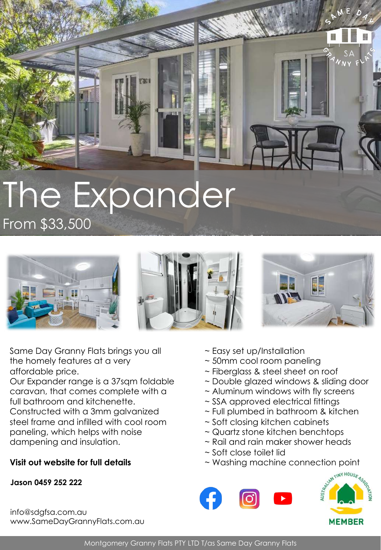

# The Expander From \$33,500



Same Day Granny Flats brings you all the homely features at a very affordable price.

Our Expander range is a 37sqm foldable caravan, that comes complete with a full bathroom and kitchenette. Constructed with a 3mm galvanized steel frame and infilled with cool room paneling, which helps with noise dampening and insulation.

### **Visit out website for full details**

**Jason 0459 252 222**

info@sdgfsa.com.au www.SameDayGrannyFlats.com.au

- ~ Easy set up/Installation
- ~ 50mm cool room paneling
- ~ Fiberglass & steel sheet on roof
- ~ Double glazed windows & sliding door
- $\sim$  Aluminum windows with fly screens
- ~ SSA approved electrical fittings
- ~ Full plumbed in bathroom & kitchen
- ~ Soft closing kitchen cabinets
- ~ Quartz stone kitchen benchtops
- ~ Rail and rain maker shower heads
- ~ Soft close toilet lid
- ~ Washing machine connection point

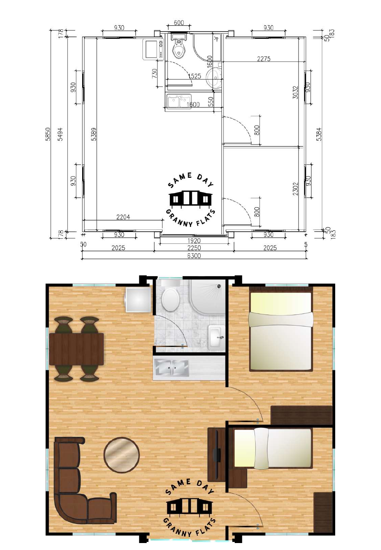

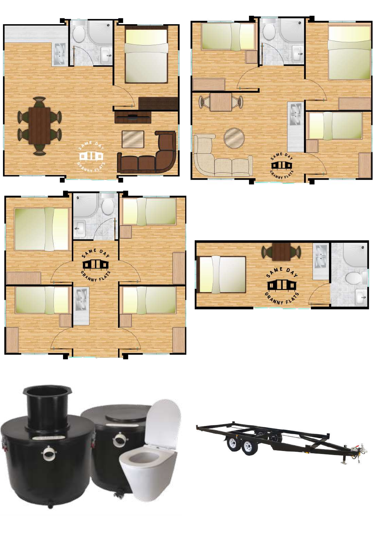









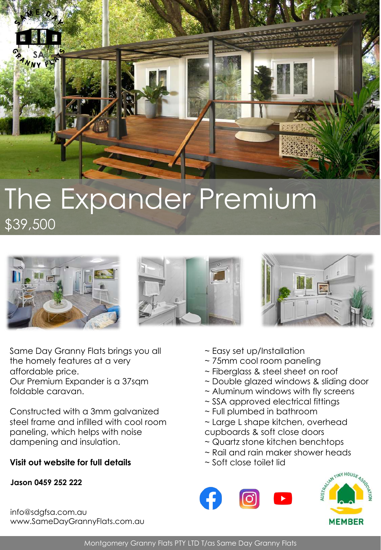

## The Expander Premium \$39,500



Same Day Granny Flats brings you all the homely features at a very affordable price. Our Premium Expander is a 37sqm foldable caravan.

Constructed with a 3mm galvanized steel frame and infilled with cool room paneling, which helps with noise dampening and insulation.

### **Visit out website for full details**

#### **Jason 0459 252 222**

info@sdgfsa.com.au www.SameDayGrannyFlats.com.au

- ~ Easy set up/Installation
- ~ 75mm cool room paneling
- ~ Fiberglass & steel sheet on roof
- ~ Double glazed windows & sliding door
- ~ Aluminum windows with fly screens
- ~ SSA approved electrical fittings
- ~ Full plumbed in bathroom
- ~ Large L shape kitchen, overhead cupboards & soft close doors
- ~ Quartz stone kitchen benchtops
- 
- ~ Rail and rain maker shower heads
- ~ Soft close toilet lid